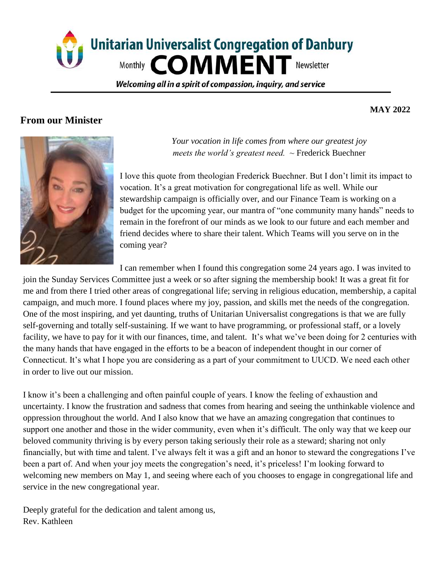

Welcoming all in a spirit of compassion, inguiry, and service

### **From our Minister**

#### **MAY 2022**



*Your vocation in life comes from where our greatest joy meets the world's greatest need. ~* Frederick Buechner

I love this quote from theologian Frederick Buechner. But I don't limit its impact to vocation. It's a great motivation for congregational life as well. While our stewardship campaign is officially over, and our Finance Team is working on a budget for the upcoming year, our mantra of "one community many hands" needs to remain in the forefront of our minds as we look to our future and each member and friend decides where to share their talent. Which Teams will you serve on in the coming year?

I can remember when I found this congregation some 24 years ago. I was invited to

join the Sunday Services Committee just a week or so after signing the membership book! It was a great fit for me and from there I tried other areas of congregational life; serving in religious education, membership, a capital campaign, and much more. I found places where my joy, passion, and skills met the needs of the congregation. One of the most inspiring, and yet daunting, truths of Unitarian Universalist congregations is that we are fully self-governing and totally self-sustaining. If we want to have programming, or professional staff, or a lovely facility, we have to pay for it with our finances, time, and talent. It's what we've been doing for 2 centuries with the many hands that have engaged in the efforts to be a beacon of independent thought in our corner of Connecticut. It's what I hope you are considering as a part of your commitment to UUCD. We need each other in order to live out our mission.

I know it's been a challenging and often painful couple of years. I know the feeling of exhaustion and uncertainty. I know the frustration and sadness that comes from hearing and seeing the unthinkable violence and oppression throughout the world. And I also know that we have an amazing congregation that continues to support one another and those in the wider community, even when it's difficult. The only way that we keep our beloved community thriving is by every person taking seriously their role as a steward; sharing not only financially, but with time and talent. I've always felt it was a gift and an honor to steward the congregations I've been a part of. And when your joy meets the congregation's need, it's priceless! I'm looking forward to welcoming new members on May 1, and seeing where each of you chooses to engage in congregational life and service in the new congregational year.

Deeply grateful for the dedication and talent among us, Rev. Kathleen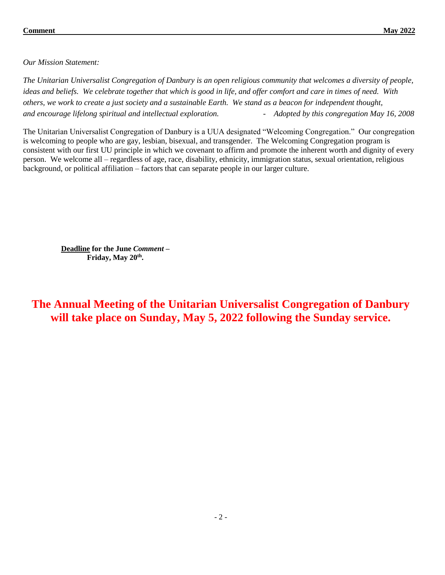*Our Mission Statement:*

*The Unitarian Universalist Congregation of Danbury is an open religious community that welcomes a diversity of people, ideas and beliefs. We celebrate together that which is good in life, and offer comfort and care in times of need. With others, we work to create a just society and a sustainable Earth. We stand as a beacon for independent thought, and encourage lifelong spiritual and intellectual exploration. - Adopted by this congregation May 16, 2008* 

The Unitarian Universalist Congregation of Danbury is a UUA designated "Welcoming Congregation." Our congregation is welcoming to people who are gay, lesbian, bisexual, and transgender. The Welcoming Congregation program is consistent with our first UU principle in which we covenant to affirm and promote the inherent worth and dignity of every person. We welcome all – regardless of age, race, disability, ethnicity, immigration status, sexual orientation, religious background, or political affiliation – factors that can separate people in our larger culture.

**Deadline for the June** *Comment –* **Friday, May 20th .** 

**The Annual Meeting of the Unitarian Universalist Congregation of Danbury will take place on Sunday, May 5, 2022 following the Sunday service.**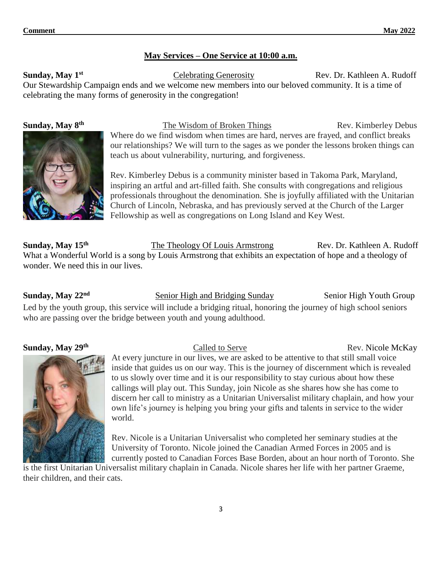#### **May Services – One Service at 10:00 a.m.**

**Sunday, May 1<sup>st</sup>** Celebrating Generosity Rev. Dr. Kathleen A. Rudoff Our Stewardship Campaign ends and we welcome new members into our beloved community. It is a time of celebrating the many forms of generosity in the congregation!



**Sunday, May 8th** The Wisdom of Broken Things Rev. Kimberley Debus Where do we find wisdom when times are hard, nerves are frayed, and conflict breaks our relationships? We will turn to the sages as we ponder the lessons broken things can teach us about vulnerability, nurturing, and forgiveness.

> Rev. Kimberley Debus is a community minister based in Takoma Park, Maryland, inspiring an artful and art-filled faith. She consults with congregations and religious professionals throughout the denomination. She is joyfully affiliated with the Unitarian Church of Lincoln, Nebraska, and has previously served at the Church of the Larger Fellowship as well as congregations on Long Island and Key West.

**Sunday, May 15th** The Theology Of Louis Armstrong Rev. Dr. Kathleen A. Rudoff What a Wonderful World is a song by Louis Armstrong that exhibits an expectation of hope and a theology of wonder. We need this in our lives.

**Sunday, May 22<sup>nd</sup>** Senior High and Bridging Sunday Senior High Youth Group Led by the youth group, this service will include a bridging ritual, honoring the journey of high school seniors who are passing over the bridge between youth and young adulthood.

#### **Sunday, May 29th**



#### **Called to Serve Rev. Nicole McKay**

At every juncture in our lives, we are asked to be attentive to that still small voice inside that guides us on our way. This is the journey of discernment which is revealed to us slowly over time and it is our responsibility to stay curious about how these callings will play out. This Sunday, join Nicole as she shares how she has come to discern her call to ministry as a Unitarian Universalist military chaplain, and how your own life's journey is helping you bring your gifts and talents in service to the wider world.

Rev. Nicole is a Unitarian Universalist who completed her seminary studies at the University of Toronto. Nicole joined the Canadian Armed Forces in 2005 and is currently posted to Canadian Forces Base Borden, about an hour north of Toronto. She

is the first Unitarian Universalist military chaplain in Canada. Nicole shares her life with her partner Graeme, their children, and their cats.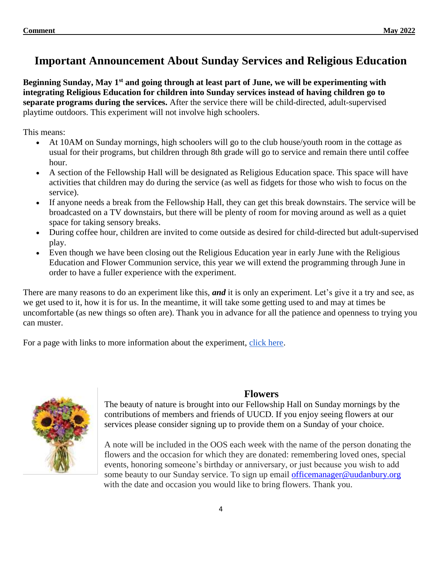# **Important Announcement About Sunday Services and Religious Education**

**Beginning Sunday, May 1st and going through at least part of June, we will be experimenting with integrating Religious Education for children into Sunday services instead of having children go to separate programs during the services.** After the service there will be child-directed, adult-supervised playtime outdoors. This experiment will not involve high schoolers.

This means:

- At 10AM on Sunday mornings, high schoolers will go to the club house/youth room in the cottage as usual for their programs, but children through 8th grade will go to service and remain there until coffee hour.
- A section of the Fellowship Hall will be designated as Religious Education space. This space will have activities that children may do during the service (as well as fidgets for those who wish to focus on the service).
- If anyone needs a break from the Fellowship Hall, they can get this break downstairs. The service will be broadcasted on a TV downstairs, but there will be plenty of room for moving around as well as a quiet space for taking sensory breaks.
- During coffee hour, children are invited to come outside as desired for child-directed but adult-supervised play.
- Even though we have been closing out the Religious Education year in early June with the Religious Education and Flower Communion service, this year we will extend the programming through June in order to have a fuller experience with the experiment.

There are many reasons to do an experiment like this, *and* it is only an experiment. Let's give it a try and see, as we get used to it, how it is for us. In the meantime, it will take some getting used to and may at times be uncomfortable (as new things so often are). Thank you in advance for all the patience and openness to trying you can muster.

For a page with links to more information about the experiment, [click here.](https://docs.google.com/document/d/1mZ9g-scNaJPk8oa2_rHjLTwBJeM9aJehJ6SLIUcuPEg/edit?usp=sharing)



### **Flowers**

The beauty of nature is brought into our Fellowship Hall on Sunday mornings by the contributions of members and friends of UUCD. If you enjoy seeing flowers at our services please consider signing up to provide them on a Sunday of your choice.

A note will be included in the OOS each week with the name of the person donating the flowers and the occasion for which they are donated: remembering loved ones, special events, honoring someone's birthday or anniversary, or just because you wish to add some beauty to our Sunday service. To sign up email [officemanager@uudanbury.org](mailto:officemanager@uudanbury.org) with the date and occasion you would like to bring flowers. Thank you.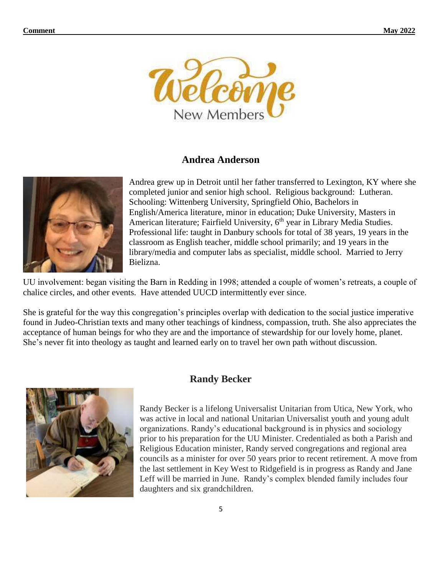

#### **Andrea Anderson**



Andrea grew up in Detroit until her father transferred to Lexington, KY where she completed junior and senior high school. Religious background: Lutheran. Schooling: Wittenberg University, Springfield Ohio, Bachelors in English/America literature, minor in education; Duke University, Masters in American literature; Fairfield University, 6<sup>th</sup> year in Library Media Studies. Professional life: taught in Danbury schools for total of 38 years, 19 years in the classroom as English teacher, middle school primarily; and 19 years in the library/media and computer labs as specialist, middle school. Married to Jerry Bielizna.

UU involvement: began visiting the Barn in Redding in 1998; attended a couple of women's retreats, a couple of chalice circles, and other events. Have attended UUCD intermittently ever since.

She is grateful for the way this congregation's principles overlap with dedication to the social justice imperative found in Judeo-Christian texts and many other teachings of kindness, compassion, truth. She also appreciates the acceptance of human beings for who they are and the importance of stewardship for our lovely home, planet. She's never fit into theology as taught and learned early on to travel her own path without discussion.



#### **Randy Becker**

Randy Becker is a lifelong Universalist Unitarian from Utica, New York, who was active in local and national Unitarian Universalist youth and young adult organizations. Randy's educational background is in physics and sociology prior to his preparation for the UU Minister. Credentialed as both a Parish and Religious Education minister, Randy served congregations and regional area councils as a minister for over 50 years prior to recent retirement. A move from the last settlement in Key West to Ridgefield is in progress as Randy and Jane Leff will be married in June. Randy's complex blended family includes four daughters and six grandchildren.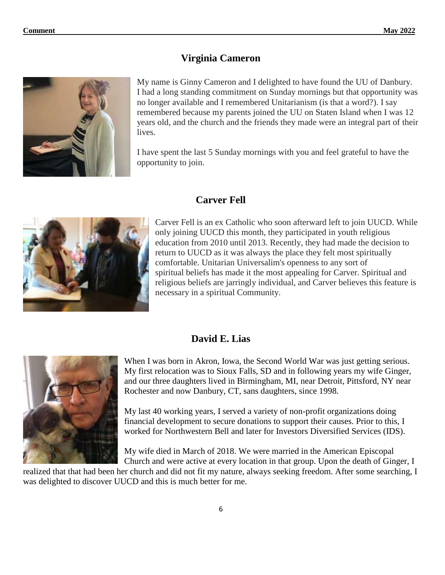# **Virginia Cameron**



My name is Ginny Cameron and I delighted to have found the UU of Danbury. I had a long standing commitment on Sunday mornings but that opportunity was no longer available and I remembered Unitarianism (is that a word?). I say remembered because my parents joined the UU on Staten Island when I was 12 years old, and the church and the friends they made were an integral part of their lives.

I have spent the last 5 Sunday mornings with you and feel grateful to have the opportunity to join.

# **Carver Fell**



Carver Fell is an ex Catholic who soon afterward left to join UUCD. While only joining UUCD this month, they participated in youth religious education from 2010 until 2013. Recently, they had made the decision to return to UUCD as it was always the place they felt most spiritually comfortable. Unitarian Universalim's openness to any sort of spiritual beliefs has made it the most appealing for Carver. Spiritual and religious beliefs are jarringly individual, and Carver believes this feature is necessary in a spiritual Community.

# **David E. Lias**



When I was born in Akron, Iowa, the Second World War was just getting serious. My first relocation was to Sioux Falls, SD and in following years my wife Ginger, and our three daughters lived in Birmingham, MI, near Detroit, Pittsford, NY near Rochester and now Danbury, CT, sans daughters, since 1998.

My last 40 working years, I served a variety of non-profit organizations doing financial development to secure donations to support their causes. Prior to this, I worked for Northwestern Bell and later for Investors Diversified Services (IDS).

My wife died in March of 2018. We were married in the American Episcopal Church and were active at every location in that group. Upon the death of Ginger, I

realized that that had been her church and did not fit my nature, always seeking freedom. After some searching, I was delighted to discover UUCD and this is much better for me.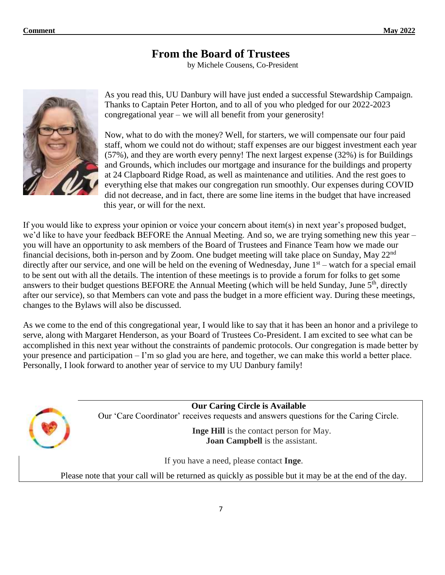# **From the Board of Trustees**

by Michele Cousens, Co-President



As you read this, UU Danbury will have just ended a successful Stewardship Campaign. Thanks to Captain Peter Horton, and to all of you who pledged for our 2022-2023 congregational year – we will all benefit from your generosity!

Now, what to do with the money? Well, for starters, we will compensate our four paid staff, whom we could not do without; staff expenses are our biggest investment each year (57%), and they are worth every penny! The next largest expense (32%) is for Buildings and Grounds, which includes our mortgage and insurance for the buildings and property at 24 Clapboard Ridge Road, as well as maintenance and utilities. And the rest goes to everything else that makes our congregation run smoothly. Our expenses during COVID did not decrease, and in fact, there are some line items in the budget that have increased this year, or will for the next.

If you would like to express your opinion or voice your concern about item(s) in next year's proposed budget, we'd like to have your feedback BEFORE the Annual Meeting. And so, we are trying something new this year – you will have an opportunity to ask members of the Board of Trustees and Finance Team how we made our financial decisions, both in-person and by Zoom. One budget meeting will take place on Sunday, May 22nd directly after our service, and one will be held on the evening of Wednesday, June 1<sup>st</sup> – watch for a special email to be sent out with all the details. The intention of these meetings is to provide a forum for folks to get some answers to their budget questions BEFORE the Annual Meeting (which will be held Sunday, June 5<sup>th</sup>, directly after our service), so that Members can vote and pass the budget in a more efficient way. During these meetings, changes to the Bylaws will also be discussed.

As we come to the end of this congregational year, I would like to say that it has been an honor and a privilege to serve, along with Margaret Henderson, as your Board of Trustees Co-President. I am excited to see what can be accomplished in this next year without the constraints of pandemic protocols. Our congregation is made better by your presence and participation – I'm so glad you are here, and together, we can make this world a better place. Personally, I look forward to another year of service to my UU Danbury family!

> **Our Caring Circle is Available** Our 'Care Coordinator' receives requests and answers questions for the Caring Circle.

> > **Inge Hill** is the contact person for May. **Joan Campbell** is the assistant.

If you have a need, please contact **Inge**.

Please note that your call will be returned as quickly as possible but it may be at the end of the day.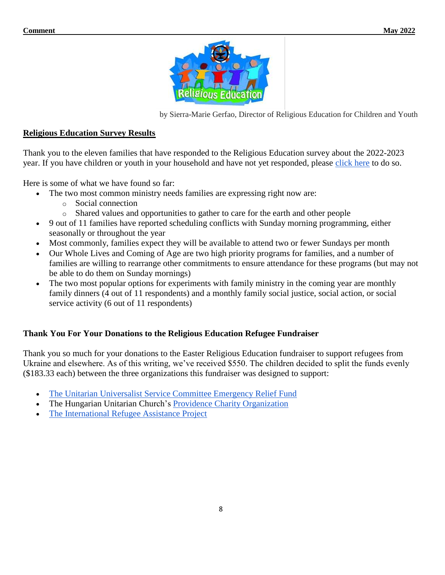

by Sierra-Marie Gerfao, Director of Religious Education for Children and Youth

#### **Religious Education Survey Results**

Thank you to the eleven families that have responded to the Religious Education survey about the 2022-2023 year. If you have children or youth in your household and have not yet responded, please [click here](https://forms.gle/AdL3Rz8usvAbdWuz5) to do so.

Here is some of what we have found so far:

- The two most common ministry needs families are expressing right now are:
	- o Social connection
	- o Shared values and opportunities to gather to care for the earth and other people
- 9 out of 11 families have reported scheduling conflicts with Sunday morning programming, either seasonally or throughout the year
- Most commonly, families expect they will be available to attend two or fewer Sundays per month
- Our Whole Lives and Coming of Age are two high priority programs for families, and a number of families are willing to rearrange other commitments to ensure attendance for these programs (but may not be able to do them on Sunday mornings)
- The two most popular options for experiments with family ministry in the coming year are monthly family dinners (4 out of 11 respondents) and a monthly family social justice, social action, or social service activity (6 out of 11 respondents)

#### **Thank You For Your Donations to the Religious Education Refugee Fundraiser**

Thank you so much for your donations to the Easter Religious Education fundraiser to support refugees from Ukraine and elsewhere. As of this writing, we've received \$550. The children decided to split the funds evenly (\$183.33 each) between the three organizations this fundraiser was designed to support:

- [The Unitarian Universalist Service Committee Emergency Relief Fund](https://donate.uusc.org/give/355250/#!/donation/checkout?preset1=35&preset2=50&preset3=75&preset4=150&utm_source=fy22-fund-NDs-Ukraine-Response&utm_medium=email&utm_campaign=fy22-fund)
- The Hungarian Unitarian Church's [Providence Charity Organization](https://www.uua.org/files/2022-03/Call%20for%20Aid%20HUC.pdf)
- [The International Refugee Assistance Project](https://refugeerights.org/)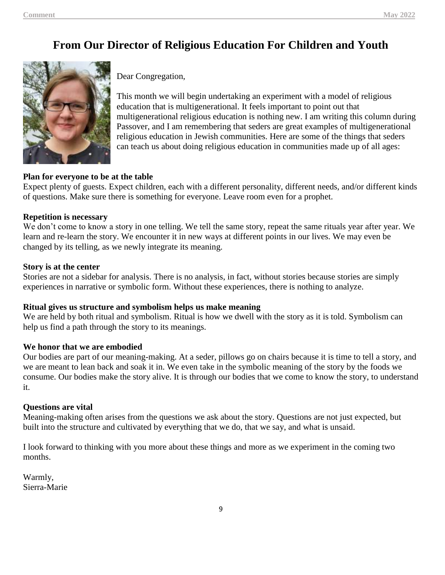# **From Our Director of Religious Education For Children and Youth**



Dear Congregation,

This month we will begin undertaking an experiment with a model of religious education that is multigenerational. It feels important to point out that multigenerational religious education is nothing new. I am writing this column during Passover, and I am remembering that seders are great examples of multigenerational religious education in Jewish communities. Here are some of the things that seders can teach us about doing religious education in communities made up of all ages:

#### **Plan for everyone to be at the table**

Expect plenty of guests. Expect children, each with a different personality, different needs, and/or different kinds of questions. Make sure there is something for everyone. Leave room even for a prophet.

#### **Repetition is necessary**

We don't come to know a story in one telling. We tell the same story, repeat the same rituals year after year. We learn and re-learn the story. We encounter it in new ways at different points in our lives. We may even be changed by its telling, as we newly integrate its meaning.

#### **Story is at the center**

Stories are not a sidebar for analysis. There is no analysis, in fact, without stories because stories are simply experiences in narrative or symbolic form. Without these experiences, there is nothing to analyze.

#### **Ritual gives us structure and symbolism helps us make meaning**

We are held by both ritual and symbolism. Ritual is how we dwell with the story as it is told. Symbolism can help us find a path through the story to its meanings.

#### **We honor that we are embodied**

Our bodies are part of our meaning-making. At a seder, pillows go on chairs because it is time to tell a story, and we are meant to lean back and soak it in. We even take in the symbolic meaning of the story by the foods we consume. Our bodies make the story alive. It is through our bodies that we come to know the story, to understand it.

#### **Questions are vital**

Meaning-making often arises from the questions we ask about the story. Questions are not just expected, but built into the structure and cultivated by everything that we do, that we say, and what is unsaid.

I look forward to thinking with you more about these things and more as we experiment in the coming two months.

Warmly, Sierra-Marie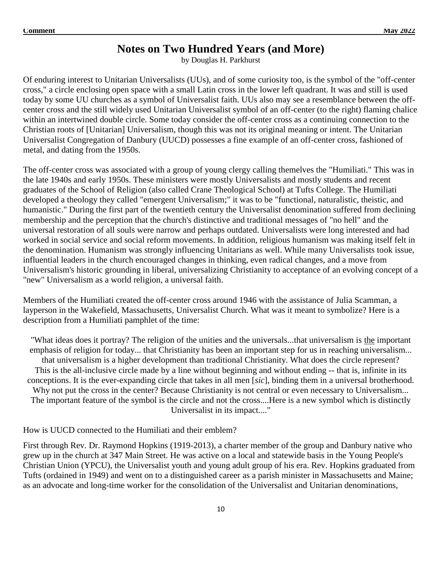# **Notes on Two Hundred Years (and More)**

by Douglas H. Parkhurst

Of enduring interest to Unitarian Universalists (UUs), and of some curiosity too, is the symbol of the "off-center cross," a circle enclosing open space with a small Latin cross in the lower left quadrant. It was and still is used today by some UU churches as a symbol of Universalist faith. UUs also may see a resemblance between the offcenter cross and the still widely used Unitarian Universalist symbol of an off-center (to the right) flaming chalice within an intertwined double circle. Some today consider the off-center cross as a continuing connection to the Christian roots of [Unitarian] Universalism, though this was not its original meaning or intent. The Unitarian Universalist Congregation of Danbury (UUCD) possesses a fine example of an off-center cross, fashioned of metal, and dating from the 1950s.

The off-center cross was associated with a group of young clergy calling themelves the "Humiliati." This was in the late 1940s and early 1950s. These ministers were mostly Universalists and mostly students and recent graduates of the School of Religion (also called Crane Theological School) at Tufts College. The Humiliati developed a theology they called "emergent Universalism;" it was to be "functional, naturalistic, theistic, and humanistic." During the first part of the twentieth century the Universalist denomination suffered from declining membership and the perception that the church's distinctive and traditional messages of "no hell" and the universal restoration of all souls were narrow and perhaps outdated. Universalists were long interested and had worked in social service and social reform movements. In addition, religious humanism was making itself felt in the denomination. Humanism was strongly influencing Unitarians as well. While many Universalists took issue, influential leaders in the church encouraged changes in thinking, even radical changes, and a move from Universalism's historic grounding in liberal, universalizing Christianity to acceptance of an evolving concept of a "new" Universalism as a world religion, a universal faith.

Members of the Humiliati created the off-center cross around 1946 with the assistance of Julia Scamman, a layperson in the Wakefield, Massachusetts, Universalist Church. What was it meant to symbolize? Here is a description from a Humiliati pamphlet of the time:

"What ideas does it portray? The religion of the unities and the universals...that universalism is the important emphasis of religion for today... that Christianity has been an important step for us in reaching universalism... that universalism is a higher development than traditional Christianity. What does the circle represent? This is the all-inclusive circle made by a line without beginning and without ending -- that is, infinite in its conceptions. It is the ever-expanding circle that takes in all men [*sic*], binding them in a universal brotherhood. Why not put the cross in the center? Because Christianity is not central or even necessary to Universalism... The important feature of the symbol is the circle and not the cross....Here is a new symbol which is distinctly Universalist in its impact...."

How is UUCD connected to the Humiliati and their emblem?

First through Rev. Dr. Raymond Hopkins (1919-2013), a charter member of the group and Danbury native who grew up in the church at 347 Main Street. He was active on a local and statewide basis in the Young People's Christian Union (YPCU), the Universalist youth and young adult group of his era. Rev. Hopkins graduated from Tufts (ordained in 1949) and went on to a distinguished career as a parish minister in Massachusetts and Maine; as an advocate and long-time worker for the consolidation of the Universalist and Unitarian denominations,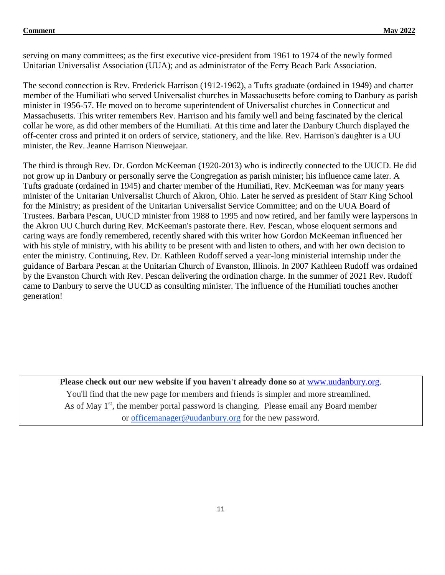#### **Comment** May 2022

serving on many committees; as the first executive vice-president from 1961 to 1974 of the newly formed Unitarian Universalist Association (UUA); and as administrator of the Ferry Beach Park Association.

The second connection is Rev. Frederick Harrison (1912-1962), a Tufts graduate (ordained in 1949) and charter member of the Humiliati who served Universalist churches in Massachusetts before coming to Danbury as parish minister in 1956-57. He moved on to become superintendent of Universalist churches in Connecticut and Massachusetts. This writer remembers Rev. Harrison and his family well and being fascinated by the clerical collar he wore, as did other members of the Humiliati. At this time and later the Danbury Church displayed the off-center cross and printed it on orders of service, stationery, and the like. Rev. Harrison's daughter is a UU minister, the Rev. Jeanne Harrison Nieuwejaar.

The third is through Rev. Dr. Gordon McKeeman (1920-2013) who is indirectly connected to the UUCD. He did not grow up in Danbury or personally serve the Congregation as parish minister; his influence came later. A Tufts graduate (ordained in 1945) and charter member of the Humiliati, Rev. McKeeman was for many years minister of the Unitarian Universalist Church of Akron, Ohio. Later he served as president of Starr King School for the Ministry; as president of the Unitarian Universalist Service Committee; and on the UUA Board of Trustees. Barbara Pescan, UUCD minister from 1988 to 1995 and now retired, and her family were laypersons in the Akron UU Church during Rev. McKeeman's pastorate there. Rev. Pescan, whose eloquent sermons and caring ways are fondly remembered, recently shared with this writer how Gordon McKeeman influenced her with his style of ministry, with his ability to be present with and listen to others, and with her own decision to enter the ministry. Continuing, Rev. Dr. Kathleen Rudoff served a year-long ministerial internship under the guidance of Barbara Pescan at the Unitarian Church of Evanston, Illinois. In 2007 Kathleen Rudoff was ordained by the Evanston Church with Rev. Pescan delivering the ordination charge. In the summer of 2021 Rev. Rudoff came to Danbury to serve the UUCD as consulting minister. The influence of the Humiliati touches another generation!

**Please check out our new website if you haven't already done so** at [www.uudanbury.org.](http://www.uudanbury.org/) You'll find that the new page for members and friends is simpler and more streamlined. As of May 1<sup>st</sup>, the member portal password is changing. Please email any Board member or [officemanager@uudanbury.org](mailto:officemanager@uudanbury.org) for the new password.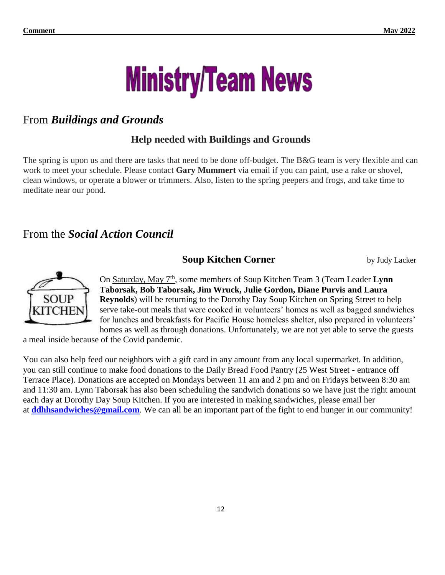

# From *Buildings and Grounds*

# **Help needed with Buildings and Grounds**

The spring is upon us and there are tasks that need to be done off-budget. The B&G team is very flexible and can work to meet your schedule. Please contact **Gary Mummert** via email if you can paint, use a rake or shovel, clean windows, or operate a blower or trimmers. Also, listen to the spring peepers and frogs, and take time to meditate near our pond.

# From the *Social Action Council*

# **Soup Kitchen Corner** by Judy Lacker



On Saturday, May 7<sup>th</sup>, some members of Soup Kitchen Team 3 (Team Leader Lynn **Taborsak, Bob Taborsak, Jim Wruck, Julie Gordon, Diane Purvis and Laura Reynolds**) will be returning to the Dorothy Day Soup Kitchen on Spring Street to help serve take-out meals that were cooked in volunteers' homes as well as bagged sandwiches for lunches and breakfasts for Pacific House homeless shelter, also prepared in volunteers' homes as well as through donations. Unfortunately, we are not yet able to serve the guests

a meal inside because of the Covid pandemic.

You can also help feed our neighbors with a gift card in any amount from any local supermarket. In addition, you can still continue to make food donations to the Daily Bread Food Pantry (25 West Street - entrance off Terrace Place). Donations are accepted on Mondays between 11 am and 2 pm and on Fridays between 8:30 am and 11:30 am. Lynn Taborsak has also been scheduling the sandwich donations so we have just the right amount each day at Dorothy Day Soup Kitchen. If you are interested in making sandwiches, please email her at **[ddhhsandwiches@gmail.com](mailto:ddhhsandwiches@gmail.com)**. We can all be an important part of the fight to end hunger in our community!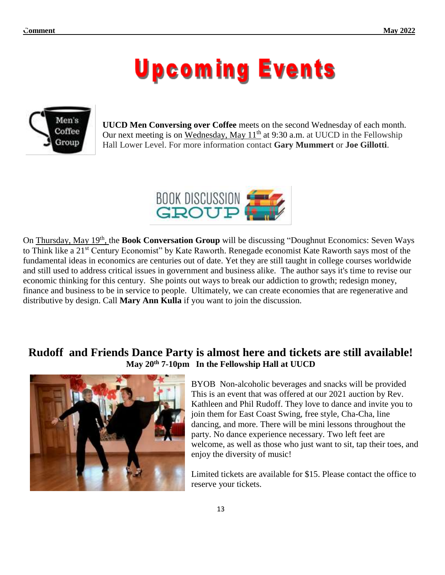# **Upcoming Events**



**UUCD Men Conversing over Coffee** meets on the second Wednesday of each month. Our next meeting is on Wednesday, May  $11<sup>th</sup>$  at 9:30 a.m. at UUCD in the Fellowship Hall Lower Level. For more information contact **Gary Mummert** or **Joe Gillotti**.



On Thursday, May 19<sup>th</sup>, the **Book Conversation Group** will be discussing "Doughnut Economics: Seven Ways to Think like a 21<sup>st</sup> Century Economist" by Kate Raworth. Renegade economist Kate Raworth says most of the fundamental ideas in economics are centuries out of date. Yet they are still taught in college courses worldwide and still used to address critical issues in government and business alike. The author says it's time to revise our economic thinking for this century. She points out ways to break our addiction to growth; redesign money, finance and business to be in service to people. Ultimately, we can create economies that are regenerative and distributive by design. Call **Mary Ann Kulla** if you want to join the discussion.

# **Rudoff and Friends Dance Party is almost here and tickets are still available! May 20th 7-10pm In the Fellowship Hall at UUCD**



BYOB Non-alcoholic beverages and snacks will be provided This is an event that was offered at our 2021 auction by Rev. Kathleen and Phil Rudoff. They love to dance and invite you to join them for East Coast Swing, free style, Cha-Cha, line dancing, and more. There will be mini lessons throughout the party. No dance experience necessary. Two left feet are welcome, as well as those who just want to sit, tap their toes, and enjoy the diversity of music!

Limited tickets are available for \$15. Please contact the office to reserve your tickets.